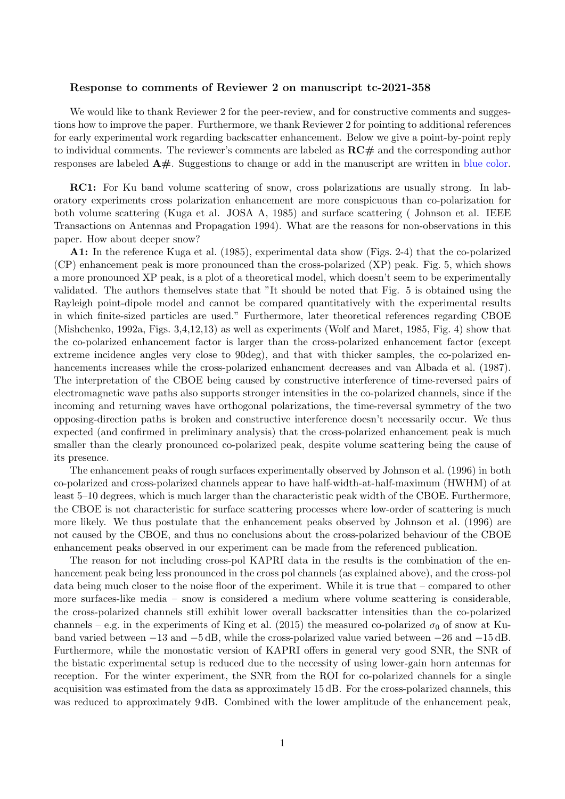## Response to comments of Reviewer 2 on manuscript tc-2021-358

We would like to thank Reviewer 2 for the peer-review, and for constructive comments and suggestions how to improve the paper. Furthermore, we thank Reviewer 2 for pointing to additional references for early experimental work regarding backscatter enhancement. Below we give a point-by-point reply to individual comments. The reviewer's comments are labeled as  $\mathbf{RC}\#$  and the corresponding author responses are labeled A#. Suggestions to change or add in the manuscript are written in blue color.

RC1: For Ku band volume scattering of snow, cross polarizations are usually strong. In laboratory experiments cross polarization enhancement are more conspicuous than co-polarization for both volume scattering (Kuga et al. JOSA A, 1985) and surface scattering ( Johnson et al. IEEE Transactions on Antennas and Propagation 1994). What are the reasons for non-observations in this paper. How about deeper snow?

A1: In the reference Kuga et al. (1985), experimental data show (Figs. 2-4) that the co-polarized (CP) enhancement peak is more pronounced than the cross-polarized (XP) peak. Fig. 5, which shows a more pronounced XP peak, is a plot of a theoretical model, which doesn't seem to be experimentally validated. The authors themselves state that "It should be noted that Fig. 5 is obtained using the Rayleigh point-dipole model and cannot be compared quantitatively with the experimental results in which finite-sized particles are used." Furthermore, later theoretical references regarding CBOE (Mishchenko, 1992a, Figs. 3,4,12,13) as well as experiments (Wolf and Maret, 1985, Fig. 4) show that the co-polarized enhancement factor is larger than the cross-polarized enhancement factor (except extreme incidence angles very close to 90deg), and that with thicker samples, the co-polarized enhancements increases while the cross-polarized enhancment decreases and van Albada et al. (1987). The interpretation of the CBOE being caused by constructive interference of time-reversed pairs of electromagnetic wave paths also supports stronger intensities in the co-polarized channels, since if the incoming and returning waves have orthogonal polarizations, the time-reversal symmetry of the two opposing-direction paths is broken and constructive interference doesn't necessarily occur. We thus expected (and confirmed in preliminary analysis) that the cross-polarized enhancement peak is much smaller than the clearly pronounced co-polarized peak, despite volume scattering being the cause of its presence.

The enhancement peaks of rough surfaces experimentally observed by Johnson et al. (1996) in both co-polarized and cross-polarized channels appear to have half-width-at-half-maximum (HWHM) of at least 5–10 degrees, which is much larger than the characteristic peak width of the CBOE. Furthermore, the CBOE is not characteristic for surface scattering processes where low-order of scattering is much more likely. We thus postulate that the enhancement peaks observed by Johnson et al. (1996) are not caused by the CBOE, and thus no conclusions about the cross-polarized behaviour of the CBOE enhancement peaks observed in our experiment can be made from the referenced publication.

The reason for not including cross-pol KAPRI data in the results is the combination of the enhancement peak being less pronounced in the cross pol channels (as explained above), and the cross-pol data being much closer to the noise floor of the experiment. While it is true that – compared to other more surfaces-like media – snow is considered a medium where volume scattering is considerable, the cross-polarized channels still exhibit lower overall backscatter intensities than the co-polarized channels – e.g. in the experiments of King et al. (2015) the measured co-polarized  $\sigma_0$  of snow at Kuband varied between −13 and −5 dB, while the cross-polarized value varied between −26 and −15 dB. Furthermore, while the monostatic version of KAPRI offers in general very good SNR, the SNR of the bistatic experimental setup is reduced due to the necessity of using lower-gain horn antennas for reception. For the winter experiment, the SNR from the ROI for co-polarized channels for a single acquisition was estimated from the data as approximately 15 dB. For the cross-polarized channels, this was reduced to approximately 9 dB. Combined with the lower amplitude of the enhancement peak,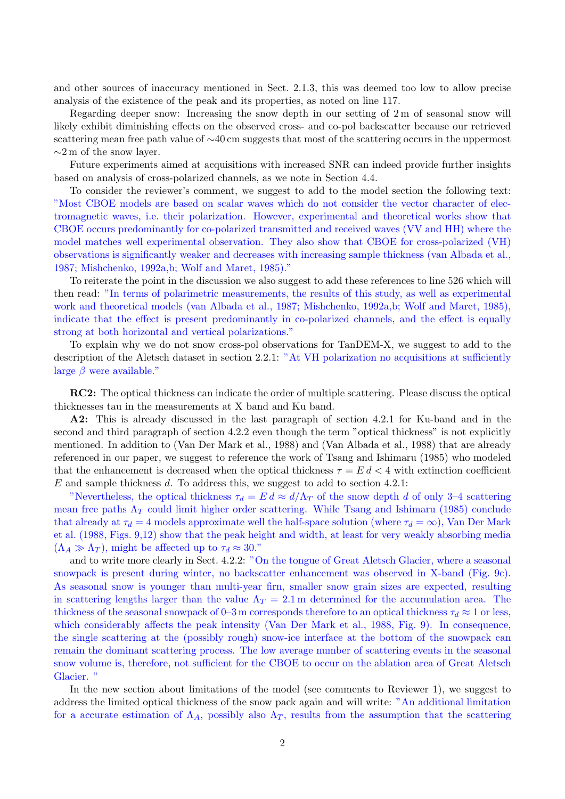and other sources of inaccuracy mentioned in Sect. 2.1.3, this was deemed too low to allow precise analysis of the existence of the peak and its properties, as noted on line 117.

Regarding deeper snow: Increasing the snow depth in our setting of 2 m of seasonal snow will likely exhibit diminishing effects on the observed cross- and co-pol backscatter because our retrieved scattering mean free path value of  $\sim$ 40 cm suggests that most of the scattering occurs in the uppermost  $\sim$ 2 m of the snow layer.

Future experiments aimed at acquisitions with increased SNR can indeed provide further insights based on analysis of cross-polarized channels, as we note in Section 4.4.

To consider the reviewer's comment, we suggest to add to the model section the following text: "Most CBOE models are based on scalar waves which do not consider the vector character of electromagnetic waves, i.e. their polarization. However, experimental and theoretical works show that CBOE occurs predominantly for co-polarized transmitted and received waves (VV and HH) where the model matches well experimental observation. They also show that CBOE for cross-polarized (VH) observations is significantly weaker and decreases with increasing sample thickness (van Albada et al., 1987; Mishchenko, 1992a,b; Wolf and Maret, 1985)."

To reiterate the point in the discussion we also suggest to add these references to line 526 which will then read: "In terms of polarimetric measurements, the results of this study, as well as experimental work and theoretical models (van Albada et al., 1987; Mishchenko, 1992a,b; Wolf and Maret, 1985), indicate that the effect is present predominantly in co-polarized channels, and the effect is equally strong at both horizontal and vertical polarizations."

To explain why we do not snow cross-pol observations for TanDEM-X, we suggest to add to the description of the Aletsch dataset in section 2.2.1: "At VH polarization no acquisitions at sufficiently large  $\beta$  were available."

RC2: The optical thickness can indicate the order of multiple scattering. Please discuss the optical thicknesses tau in the measurements at X band and Ku band.

A2: This is already discussed in the last paragraph of section 4.2.1 for Ku-band and in the second and third paragraph of section 4.2.2 even though the term "optical thickness" is not explicitly mentioned. In addition to (Van Der Mark et al., 1988) and (Van Albada et al., 1988) that are already referenced in our paper, we suggest to reference the work of Tsang and Ishimaru (1985) who modeled that the enhancement is decreased when the optical thickness  $\tau = E d < 4$  with extinction coefficient E and sample thickness d. To address this, we suggest to add to section 4.2.1:

"Nevertheless, the optical thickness  $\tau_d = E d \approx d/\Lambda_T$  of the snow depth d of only 3–4 scattering mean free paths  $\Lambda_T$  could limit higher order scattering. While Tsang and Ishimaru (1985) conclude that already at  $\tau_d = 4$  models approximate well the half-space solution (where  $\tau_d = \infty$ ), Van Der Mark et al. (1988, Figs. 9,12) show that the peak height and width, at least for very weakly absorbing media  $(\Lambda_A \gg \Lambda_T)$ , might be affected up to  $\tau_d \approx 30$ ."

and to write more clearly in Sect. 4.2.2: "On the tongue of Great Aletsch Glacier, where a seasonal snowpack is present during winter, no backscatter enhancement was observed in X-band (Fig. 9c). As seasonal snow is younger than multi-year firn, smaller snow grain sizes are expected, resulting in scattering lengths larger than the value  $\Lambda_T = 2.1$  m determined for the accumulation area. The thickness of the seasonal snowpack of 0–3 m corresponds therefore to an optical thickness  $\tau_d \approx 1$  or less, which considerably affects the peak intensity (Van Der Mark et al., 1988, Fig. 9). In consequence, the single scattering at the (possibly rough) snow-ice interface at the bottom of the snowpack can remain the dominant scattering process. The low average number of scattering events in the seasonal snow volume is, therefore, not sufficient for the CBOE to occur on the ablation area of Great Aletsch Glacier. "

In the new section about limitations of the model (see comments to Reviewer 1), we suggest to address the limited optical thickness of the snow pack again and will write: "An additional limitation for a accurate estimation of  $\Lambda_A$ , possibly also  $\Lambda_T$ , results from the assumption that the scattering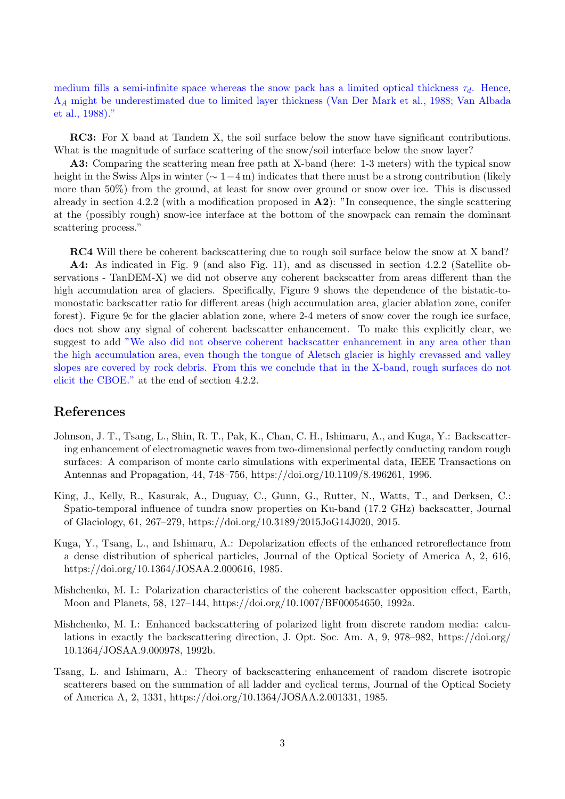medium fills a semi-infinite space whereas the snow pack has a limited optical thickness  $\tau_d$ . Hence,  $\Lambda_A$  might be underestimated due to limited layer thickness (Van Der Mark et al., 1988; Van Albada et al., 1988)."

RC3: For X band at Tandem X, the soil surface below the snow have significant contributions. What is the magnitude of surface scattering of the snow/soil interface below the snow layer?

A3: Comparing the scattering mean free path at X-band (here: 1-3 meters) with the typical snow height in the Swiss Alps in winter ( $\sim 1-4$  m) indicates that there must be a strong contribution (likely more than 50%) from the ground, at least for snow over ground or snow over ice. This is discussed already in section 4.2.2 (with a modification proposed in  $\mathbf{A2}$ ): "In consequence, the single scattering at the (possibly rough) snow-ice interface at the bottom of the snowpack can remain the dominant scattering process."

RC4 Will there be coherent backscattering due to rough soil surface below the snow at X band? A4: As indicated in Fig. 9 (and also Fig. 11), and as discussed in section 4.2.2 (Satellite observations - TanDEM-X) we did not observe any coherent backscatter from areas different than the high accumulation area of glaciers. Specifically, Figure 9 shows the dependence of the bistatic-tomonostatic backscatter ratio for different areas (high accumulation area, glacier ablation zone, conifer forest). Figure 9c for the glacier ablation zone, where 2-4 meters of snow cover the rough ice surface, does not show any signal of coherent backscatter enhancement. To make this explicitly clear, we suggest to add "We also did not observe coherent backscatter enhancement in any area other than the high accumulation area, even though the tongue of Aletsch glacier is highly crevassed and valley slopes are covered by rock debris. From this we conclude that in the X-band, rough surfaces do not elicit the CBOE." at the end of section 4.2.2.

## References

- Johnson, J. T., Tsang, L., Shin, R. T., Pak, K., Chan, C. H., Ishimaru, A., and Kuga, Y.: Backscattering enhancement of electromagnetic waves from two-dimensional perfectly conducting random rough surfaces: A comparison of monte carlo simulations with experimental data, IEEE Transactions on Antennas and Propagation, 44, 748–756, https://doi.org/10.1109/8.496261, 1996.
- King, J., Kelly, R., Kasurak, A., Duguay, C., Gunn, G., Rutter, N., Watts, T., and Derksen, C.: Spatio-temporal influence of tundra snow properties on Ku-band (17.2 GHz) backscatter, Journal of Glaciology, 61, 267–279, https://doi.org/10.3189/2015JoG14J020, 2015.
- Kuga, Y., Tsang, L., and Ishimaru, A.: Depolarization effects of the enhanced retroreflectance from a dense distribution of spherical particles, Journal of the Optical Society of America A, 2, 616, https://doi.org/10.1364/JOSAA.2.000616, 1985.
- Mishchenko, M. I.: Polarization characteristics of the coherent backscatter opposition effect, Earth, Moon and Planets, 58, 127–144, https://doi.org/10.1007/BF00054650, 1992a.
- Mishchenko, M. I.: Enhanced backscattering of polarized light from discrete random media: calculations in exactly the backscattering direction, J. Opt. Soc. Am. A, 9, 978–982, https://doi.org/ 10.1364/JOSAA.9.000978, 1992b.
- Tsang, L. and Ishimaru, A.: Theory of backscattering enhancement of random discrete isotropic scatterers based on the summation of all ladder and cyclical terms, Journal of the Optical Society of America A, 2, 1331, https://doi.org/10.1364/JOSAA.2.001331, 1985.